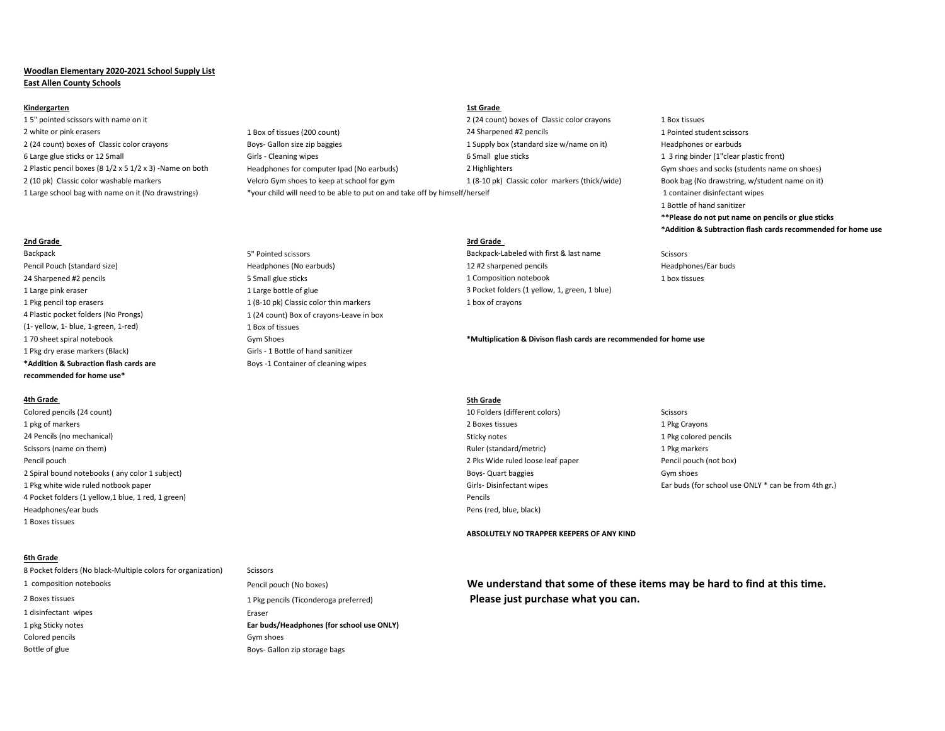# **Woodlan Elementary 2020-2021 School Supply List East Allen County Schools**

### **Kindergarten 1st Grade**

1 5" pointed scissors with name on it 2 (24 count) boxes of Classic color crayons 1 Box tissues 2 white or pink erasers 200 million and the student scissors and the student scissors of tissues (200 count) 24 Sharpened #2 pencils 1 Pointed student scissors and the scissors of the student scissors and the student sciss 2 (24 count) boxes of Classic color crayons **Boys- Gallon size zip baggies** and a supply box (standard size w/name on it) Headphones or earbuds 6 Large glue sticks or 12 Small Small Girls - Cleaning wipes 6 Small glue sticks 1 3 ring binder (1"clear plastic front) 2 Plastic pencil boxes (8 1/2 x 5 1/2 x 3) -Name on both Headphones for computer Ipad (No earbuds) 2 Highlighters 2 Highlighters Gym shoes and socks (students name on shoes) 2 (10 pk) Classic color washable markers veltion of the Velcro Gym shoes to keep at school for gym 1 (8-10 pk) Classic color markers (thick/wide) Book bag (No drawstring, w/student name on it)

## **2nd Grade 3rd Grade**

1 Pkg pencil top erasers 1 (8-10 pk) Classic color thin markers 1 box of crayons 4 Plastic pocket folders (No Prongs) 1 (24 count) Box of crayons-Leave in box (1- yellow, 1- blue, 1-green, 1-red) 1 Box of tissues 1 Pkg dry erase markers (Black) Girls - 1 Bottle of hand sanitizer **\*Addition & Subraction flash cards are** Boys -1 Container of cleaning wipes **recommended for home use\***

## **4th Grade 5th Grade**

Colored pencils (24 count) 10 Folders (different colors) Scissors 1 pkg of markers 2 Boxes tissues 1 Pkg Crayons 24 Pencils (no mechanical) 22 Pencils (no mechanical) 24 Pencils (no mechanical) 24 Pencils (no mechanical) 29 Pencils (no mechanical) 29 Pencils (no mechanical) 29 Pencils (no mechanical) 29 Pencils (no mechanical) 29 Pen Scissors (name on them) 1 Pkg markers and the markers of the markers of the markers of the markers of the markers of the markers of the markers of the markers of the markers of the markers of the markers of the markers of Pencil pouch 2 Pks Wide ruled loose leaf paper 2 Pks Wide ruled loose leaf paper 2 Pks Wide ruled loose leaf paper Pencil pouch (not box) 2 Spiral bound notebooks (any color 1 subject) Gym shoes and the state of the state of the state Gym shoes Gym shoes 4 Pocket folders (1 yellow,1 blue, 1 red, 1 green) Pencils Headphones/ear buds Pens (red, blue, black) 1 Boxes tissues

# **6th Grade**

8 Pocket folders (No black-Multiple colors for organization) Scissors 2 Boxes tissues 1 Please just purchase what you can. 1 disinfectant wipes Eraser 1 pkg Sticky notes **Ear buds/Headphones (for school use ONLY)** Colored pencils Gym shoes Bottle of glue Boys- Gallon zip storage bags

1 Large school bag with name on it (No drawstrings) \*your child will need to be able to put on and take off by himself/herself 1 container disinfectant wipes

# 1 Bottle of hand sanitizer **\*\*Please do not put name on pencils or glue sticks \*Addition & Subtraction flash cards recommended for home use**

Backpack **Exercise 3 and Servey 3 and Servey 3 and Servey 3 and Servey 3 and Servey 3 and Servey 3 and Servey 3 and Servey 3 and Servey 3 and Servey 3 and Servey 3 and Servey 3 and Servey 3 and Servey 3 and Servey 3 and Se** Pencil Pouch (standard size) entitled that the Headphones (No earbuds) 12 #2 sharpened pencils headphones/Ear buds Headphones/Ear buds 24 Sharpened #2 pencils example and the Small glue sticks and the Small glue sticks and the Small glue sticks and the Small glue sticks and the Small glue sticks and the Small glue sticks and the Small glue sticks and the 1 Large pink eraser end and the state of glue 1 Large bottle of glue 3 Pocket folders (1 yellow, 1, green, 1 blue)

1 70 sheet spiral notebook Gym Shoes **\*Multiplication & Divison flash cards are recommended for home use**

- 
- 1 Pkg white wide ruled notbook paper Girls- Disinfectant wipes Ear buds (for school use ONLY \* can be from 4th gr.)

**ABSOLUTELY NO TRAPPER KEEPERS OF ANY KIND**

1 composition notebooks Pencil pouch (No boxes) **We understand that some of these items may be hard to find at this time.**